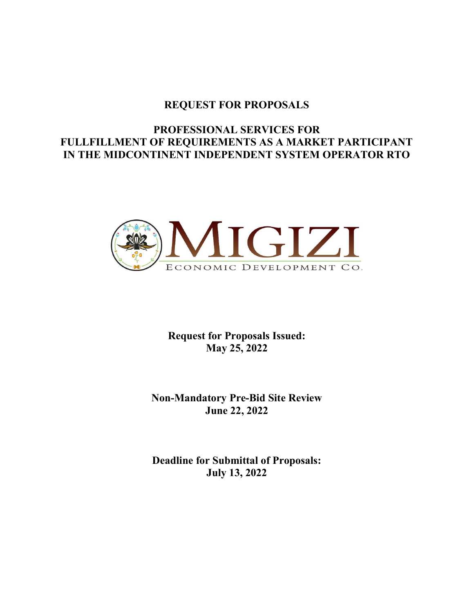## REQUEST FOR PROPOSALS

# PROFESSIONAL SERVICES FOR FULLFILLMENT OF REQUIREMENTS AS A MARKET PARTICIPANT IN THE MIDCONTINENT INDEPENDENT SYSTEM OPERATOR RTO



Request for Proposals Issued: May 25, 2022

Non-Mandatory Pre-Bid Site Review June 22, 2022

Deadline for Submittal of Proposals: July 13, 2022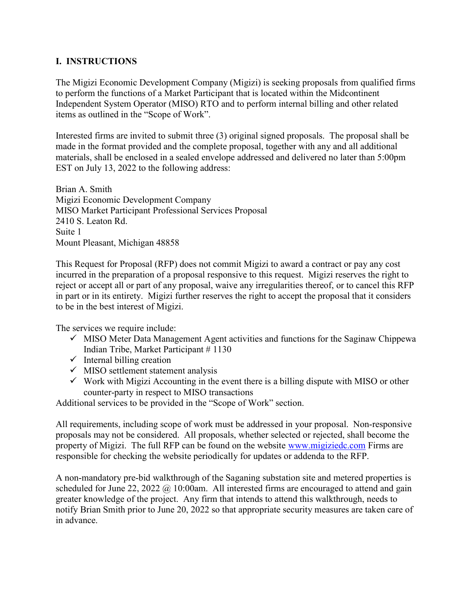### I. INSTRUCTIONS

The Migizi Economic Development Company (Migizi) is seeking proposals from qualified firms to perform the functions of a Market Participant that is located within the Midcontinent Independent System Operator (MISO) RTO and to perform internal billing and other related items as outlined in the "Scope of Work".

Interested firms are invited to submit three (3) original signed proposals. The proposal shall be made in the format provided and the complete proposal, together with any and all additional materials, shall be enclosed in a sealed envelope addressed and delivered no later than 5:00pm EST on July 13, 2022 to the following address:

Brian A. Smith Migizi Economic Development Company MISO Market Participant Professional Services Proposal 2410 S. Leaton Rd. Suite 1 Mount Pleasant, Michigan 48858

This Request for Proposal (RFP) does not commit Migizi to award a contract or pay any cost incurred in the preparation of a proposal responsive to this request. Migizi reserves the right to reject or accept all or part of any proposal, waive any irregularities thereof, or to cancel this RFP in part or in its entirety. Migizi further reserves the right to accept the proposal that it considers to be in the best interest of Migizi.

The services we require include:

- $\checkmark$  MISO Meter Data Management Agent activities and functions for the Saginaw Chippewa Indian Tribe, Market Participant # 1130
- $\checkmark$  Internal billing creation
- $\checkmark$  MISO settlement statement analysis
- $\checkmark$  Work with Migizi Accounting in the event there is a billing dispute with MISO or other counter-party in respect to MISO transactions

Additional services to be provided in the "Scope of Work" section.

All requirements, including scope of work must be addressed in your proposal. Non-responsive proposals may not be considered. All proposals, whether selected or rejected, shall become the property of Migizi. The full RFP can be found on the website www.migiziedc.com Firms are responsible for checking the website periodically for updates or addenda to the RFP.

A non-mandatory pre-bid walkthrough of the Saganing substation site and metered properties is scheduled for June 22, 2022  $\omega$  10:00am. All interested firms are encouraged to attend and gain greater knowledge of the project. Any firm that intends to attend this walkthrough, needs to notify Brian Smith prior to June 20, 2022 so that appropriate security measures are taken care of in advance.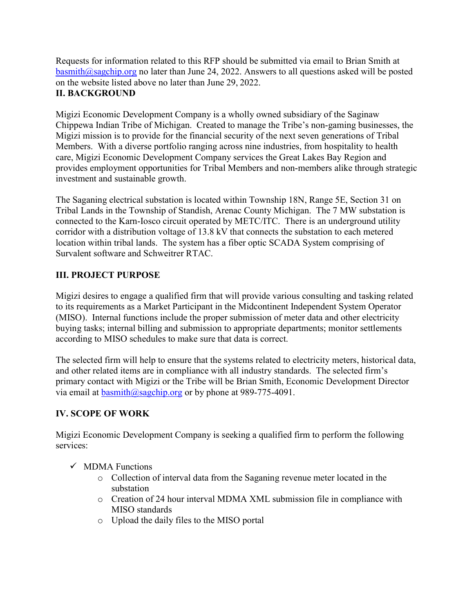Requests for information related to this RFP should be submitted via email to Brian Smith at basmith@sagchip.org no later than June 24, 2022. Answers to all questions asked will be posted on the website listed above no later than June 29, 2022. II. BACKGROUND

Migizi Economic Development Company is a wholly owned subsidiary of the Saginaw Chippewa Indian Tribe of Michigan. Created to manage the Tribe's non-gaming businesses, the Migizi mission is to provide for the financial security of the next seven generations of Tribal Members. With a diverse portfolio ranging across nine industries, from hospitality to health care, Migizi Economic Development Company services the Great Lakes Bay Region and provides employment opportunities for Tribal Members and non-members alike through strategic investment and sustainable growth.

The Saganing electrical substation is located within Township 18N, Range 5E, Section 31 on Tribal Lands in the Township of Standish, Arenac County Michigan. The 7 MW substation is connected to the Karn-Iosco circuit operated by METC/ITC. There is an underground utility corridor with a distribution voltage of 13.8 kV that connects the substation to each metered location within tribal lands. The system has a fiber optic SCADA System comprising of Survalent software and Schweitrer RTAC.

## III. PROJECT PURPOSE

Migizi desires to engage a qualified firm that will provide various consulting and tasking related to its requirements as a Market Participant in the Midcontinent Independent System Operator (MISO). Internal functions include the proper submission of meter data and other electricity buying tasks; internal billing and submission to appropriate departments; monitor settlements according to MISO schedules to make sure that data is correct.

The selected firm will help to ensure that the systems related to electricity meters, historical data, and other related items are in compliance with all industry standards. The selected firm's primary contact with Migizi or the Tribe will be Brian Smith, Economic Development Director via email at basmith@sagchip.org or by phone at 989-775-4091.

## IV. SCOPE OF WORK

Migizi Economic Development Company is seeking a qualified firm to perform the following services:

- $\checkmark$  MDMA Functions
	- o Collection of interval data from the Saganing revenue meter located in the substation
	- o Creation of 24 hour interval MDMA XML submission file in compliance with MISO standards
	- o Upload the daily files to the MISO portal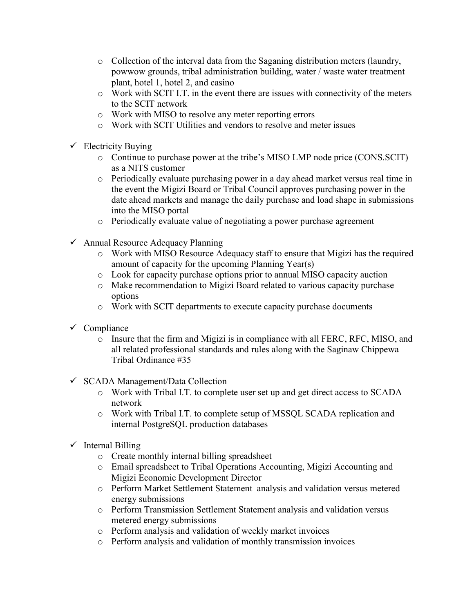- o Collection of the interval data from the Saganing distribution meters (laundry, powwow grounds, tribal administration building, water / waste water treatment plant, hotel 1, hotel 2, and casino
- o Work with SCIT I.T. in the event there are issues with connectivity of the meters to the SCIT network
- o Work with MISO to resolve any meter reporting errors
- o Work with SCIT Utilities and vendors to resolve and meter issues
- $\checkmark$  Electricity Buying
	- o Continue to purchase power at the tribe's MISO LMP node price (CONS.SCIT) as a NITS customer
	- o Periodically evaluate purchasing power in a day ahead market versus real time in the event the Migizi Board or Tribal Council approves purchasing power in the date ahead markets and manage the daily purchase and load shape in submissions into the MISO portal
	- o Periodically evaluate value of negotiating a power purchase agreement
- $\checkmark$  Annual Resource Adequacy Planning
	- o Work with MISO Resource Adequacy staff to ensure that Migizi has the required amount of capacity for the upcoming Planning Year(s)
	- o Look for capacity purchase options prior to annual MISO capacity auction
	- o Make recommendation to Migizi Board related to various capacity purchase options
	- o Work with SCIT departments to execute capacity purchase documents
- $\checkmark$  Compliance
	- o Insure that the firm and Migizi is in compliance with all FERC, RFC, MISO, and all related professional standards and rules along with the Saginaw Chippewa Tribal Ordinance #35
- $\checkmark$  SCADA Management/Data Collection
	- o Work with Tribal I.T. to complete user set up and get direct access to SCADA network
	- o Work with Tribal I.T. to complete setup of MSSQL SCADA replication and internal PostgreSQL production databases
- $\checkmark$  Internal Billing
	- o Create monthly internal billing spreadsheet
	- o Email spreadsheet to Tribal Operations Accounting, Migizi Accounting and Migizi Economic Development Director
	- o Perform Market Settlement Statement analysis and validation versus metered energy submissions
	- o Perform Transmission Settlement Statement analysis and validation versus metered energy submissions
	- o Perform analysis and validation of weekly market invoices
	- o Perform analysis and validation of monthly transmission invoices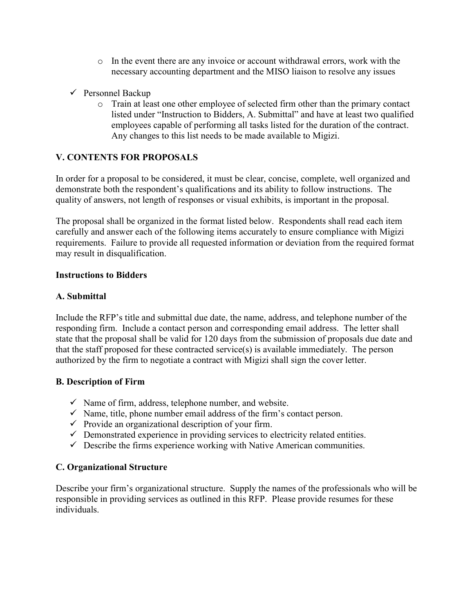- $\circ$  In the event there are any invoice or account withdrawal errors, work with the necessary accounting department and the MISO liaison to resolve any issues
- $\checkmark$  Personnel Backup
	- o Train at least one other employee of selected firm other than the primary contact listed under "Instruction to Bidders, A. Submittal" and have at least two qualified employees capable of performing all tasks listed for the duration of the contract. Any changes to this list needs to be made available to Migizi.

### V. CONTENTS FOR PROPOSALS

In order for a proposal to be considered, it must be clear, concise, complete, well organized and demonstrate both the respondent's qualifications and its ability to follow instructions. The quality of answers, not length of responses or visual exhibits, is important in the proposal.

The proposal shall be organized in the format listed below. Respondents shall read each item carefully and answer each of the following items accurately to ensure compliance with Migizi requirements. Failure to provide all requested information or deviation from the required format may result in disqualification.

#### Instructions to Bidders

### A. Submittal

Include the RFP's title and submittal due date, the name, address, and telephone number of the responding firm. Include a contact person and corresponding email address. The letter shall state that the proposal shall be valid for 120 days from the submission of proposals due date and that the staff proposed for these contracted service(s) is available immediately. The person authorized by the firm to negotiate a contract with Migizi shall sign the cover letter.

### B. Description of Firm

- $\checkmark$  Name of firm, address, telephone number, and website.
- $\checkmark$  Name, title, phone number email address of the firm's contact person.
- $\checkmark$  Provide an organizational description of your firm.
- $\checkmark$  Demonstrated experience in providing services to electricity related entities.
- $\checkmark$  Describe the firms experience working with Native American communities.

### C. Organizational Structure

Describe your firm's organizational structure. Supply the names of the professionals who will be responsible in providing services as outlined in this RFP. Please provide resumes for these individuals.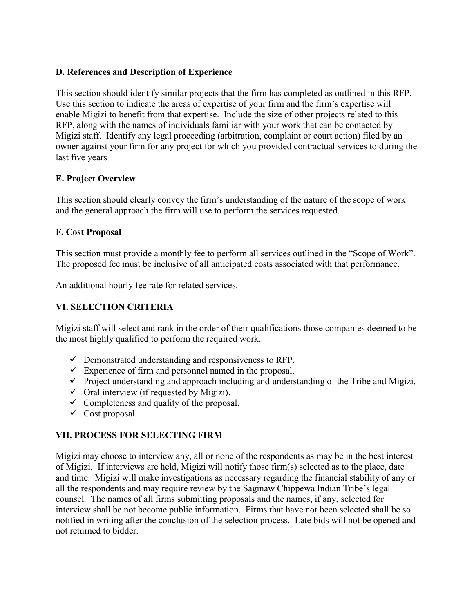### D. References and Description of Experience

This section should identify similar projects that the firm has completed as outlined in this RFP. Use this section to indicate the areas of expertise of your firm and the firm's expertise will enable Migizi to benefit from that expertise. Include the size of other projects related to this RFP, along with the names of individuals familiar with your work that can be contacted by Migizi staff. Identify any legal proceeding (arbitration, complaint or court action) filed by an owner against your firm for any project for which you provided contractual services to during the last five years

### E. Project Overview

This section should clearly convey the firm's understanding of the nature of the scope of work and the general approach the firm will use to perform the services requested.

#### F. Cost Proposal

This section must provide a monthly fee to perform all services outlined in the "Scope of Work". The proposed fee must be inclusive of all anticipated costs associated with that performance.

An additional hourly fee rate for related services.

## VI. SELECTION CRITERIA

Migizi staff will select and rank in the order of their qualifications those companies deemed to be the most highly qualified to perform the required work.

- $\checkmark$  Demonstrated understanding and responsiveness to RFP.
- $\checkmark$  Experience of firm and personnel named in the proposal.
- $\checkmark$  Project understanding and approach including and understanding of the Tribe and Migizi.
- $\checkmark$  Oral interview (if requested by Migizi).
- $\checkmark$  Completeness and quality of the proposal.
- $\checkmark$  Cost proposal.

### VII. PROCESS FOR SELECTING FIRM

Migizi may choose to interview any, all or none of the respondents as may be in the best interest of Migizi. If interviews are held, Migizi will notify those firm(s) selected as to the place, date and time. Migizi will make investigations as necessary regarding the financial stability of any or all the respondents and may require review by the Saginaw Chippewa Indian Tribe's legal counsel. The names of all firms submitting proposals and the names, if any, selected for interview shall be not become public information. Firms that have not been selected shall be so notified in writing after the conclusion of the selection process. Late bids will not be opened and not returned to bidder.